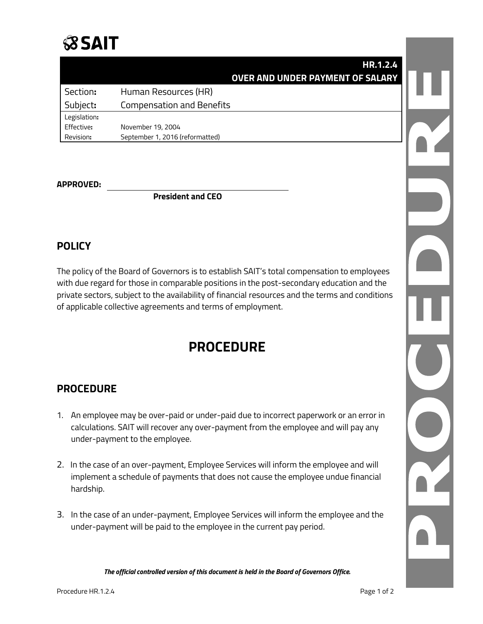## **SSAIT**

|              | <b>HR.1.2.4</b>                         |  |
|--------------|-----------------------------------------|--|
|              | <b>OVER AND UNDER PAYMENT OF SALARY</b> |  |
| Section:     | Human Resources (HR)                    |  |
| Subject:     | <b>Compensation and Benefits</b>        |  |
| Legislation: |                                         |  |
| Effective:   | November 19, 2004                       |  |
| Revision:    | September 1, 2016 (reformatted)         |  |

#### **APPROVED:**

**President and CEO**

### **POLICY**

The policy of the Board of Governors is to establish SAIT's total compensation to employees with due regard for those in comparable positions in the post-secondary education and the private sectors, subject to the availability of financial resources and the terms and conditions of applicable collective agreements and terms of employment.

## **PROCEDURE**

### **PROCEDURE**

- 1. An employee may be over-paid or under-paid due to incorrect paperwork or an error in calculations. SAIT will recover any over-payment from the employee and will pay any under-payment to the employee.
- 2. In the case of an over-payment, Employee Services will inform the employee and will implement a schedule of payments that does not cause the employee undue financial hardship.
- 3. In the case of an under-payment, Employee Services will inform the employee and the under-payment will be paid to the employee in the current pay period.

*The official controlled version of this document is held in the Board of Governors Office.*